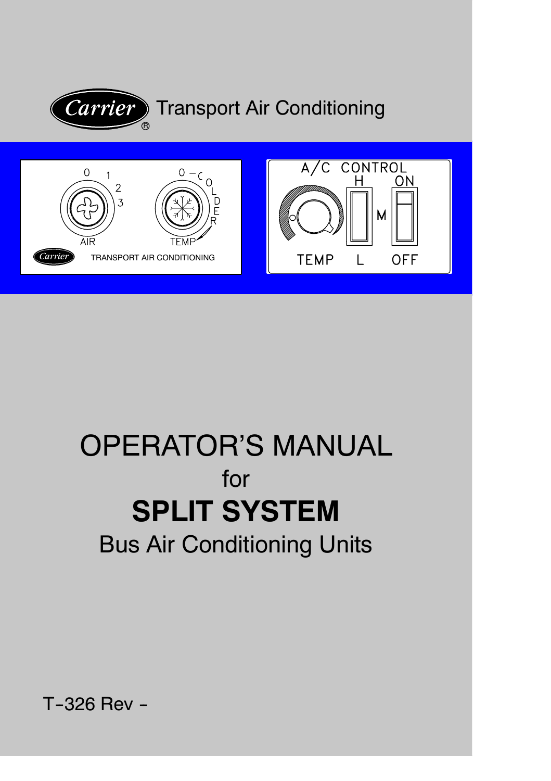

# OPERATOR'S MANUAL for **SPLIT SYSTEM** Bus Air Conditioning Units

T-326 Rev -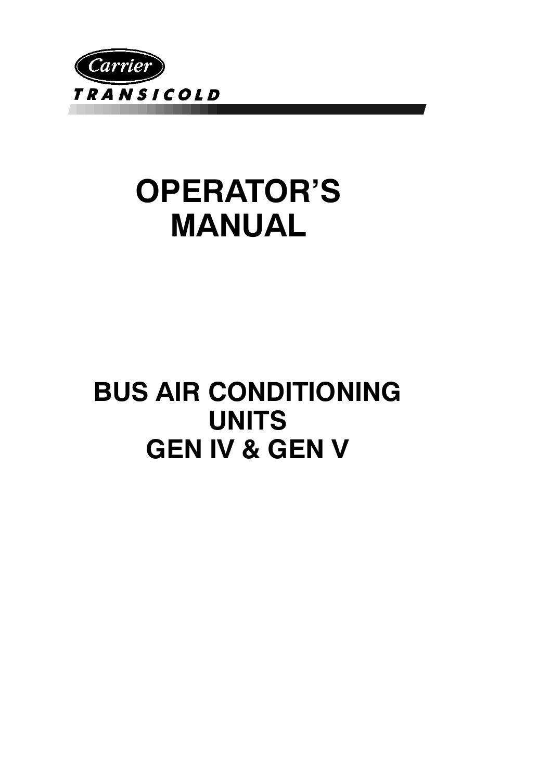

# **OPERATOR'S MANUAL**

## **BUS AIR CONDITIONING UNITS GEN IV & GEN V**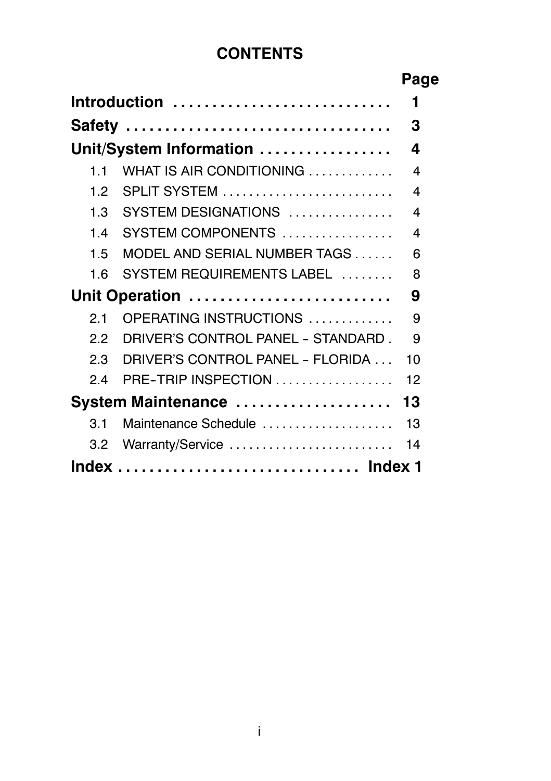#### **CONTENTS**

|                     |                                    | Page                  |  |
|---------------------|------------------------------------|-----------------------|--|
|                     | Introduction                       | 1                     |  |
|                     | Safety                             | З                     |  |
|                     | Unit/System Information            | 4                     |  |
| 11                  | WHAT IS AIR CONDITIONING           | $\boldsymbol{\Delta}$ |  |
| 12                  | SPLIT SYSTEM                       | 4                     |  |
| 1.3                 | SYSTEM DESIGNATIONS                | 4                     |  |
| 14                  | SYSTEM COMPONENTS                  | 4                     |  |
| 1.5                 | MODEL AND SERIAL NUMBER TAGS       | 6                     |  |
| 16                  | SYSTEM REQUIREMENTS LABEL          | 8                     |  |
| Unit Operation<br>9 |                                    |                       |  |
| 21                  | OPERATING INSTRUCTIONS             | 9                     |  |
| 2.2                 | DRIVER'S CONTROL PANEL - STANDARD. | 9                     |  |
| 23                  | DRIVER'S CONTROL PANEL - ELORIDA   | 10                    |  |
| 24                  | PRE-TRIP INSPECTION                | 12                    |  |
|                     | System Maintenance                 | 13                    |  |
| 31                  | Maintenance Schedule               | 13                    |  |
| 3.2                 | Warranty/Service                   | 14                    |  |
| <b>Index</b>        | Index 1                            |                       |  |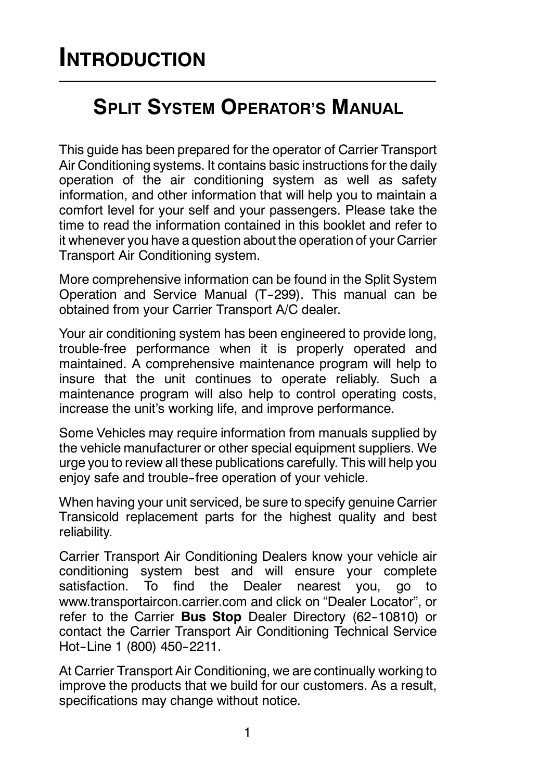### **SPLIT SYSTEM OPERATOR'S MANUAL**

This guide has been prepared for the operator of Carrier Transport Air Conditioning systems. It contains basic instructions for the daily operation of the air conditioning system as well as safety information, and other information that will help you to maintain a comfort level for your self and your passengers. Please take the time to read the information contained in this booklet and refer to it whenever you have a question about the operation of your Carrier Transport Air Conditioning system.

More comprehensive information can be found in the Split System Operation and Service Manual (T-299). This manual can be obtained from your Carrier Transport A/C dealer.

Your air conditioning system has been engineered to provide long, trouble-free performance when it is properly operated and maintained. A comprehensive maintenance program will help to insure that the unit continues to operate reliably. Such a maintenance program will also help to control operating costs, increase the unit's working life, and improve performance.

Some Vehicles may require information from manuals supplied by the vehicle manufacturer or other special equipment suppliers. We urge you to review all these publications carefully. This will help you enjoy safe and trouble-free operation of your vehicle.

When having your unit serviced, be sure to specify genuine Carrier Transicold replacement parts for the highest quality and best reliability.

Carrier Transport Air Conditioning Dealers know your vehicle air conditioning system best and will ensure your complete satisfaction. To find the Dealer nearest you, go to www.transportaircon.carrier.com and click on "Dealer Locator", or refer to the Carrier Bus Stop Dealer Directory (62-10810) or contact the Carrier Transport Air Conditioning Technical Service Hot-Line 1 (800) 450-2211.

At Carrier Transport Air Conditioning, we are continually working to improve the products that we build for our customers. As a result, specifications may change without notice.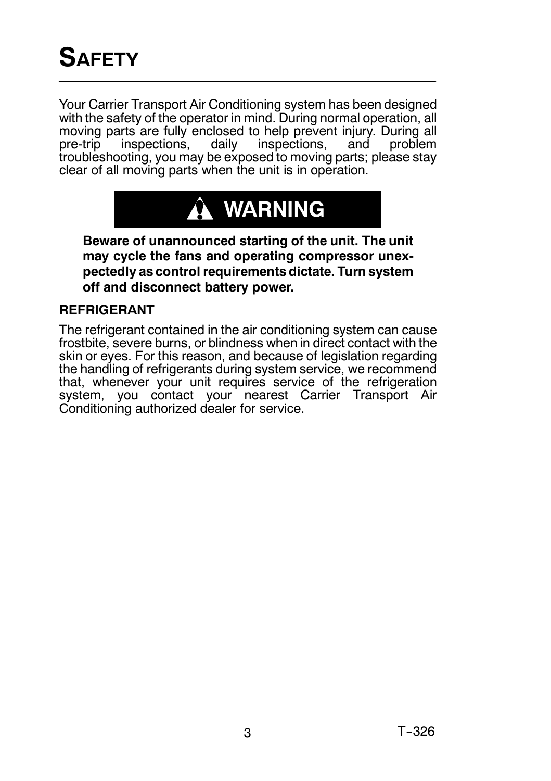Your Carrier Transport Air Conditioning system has been designed with the safety of the operator in mind. During normal operation, all moving parts are fully enclosed to help prevent injury. During all<br>pre-trip inspections, daily inspections, and problem pre-trip inspections, daily inspections, and problem troubleshooting, you may be exposed to moving parts; please stay clear of all moving parts when the unit is in operation.



**Beware of unannounced starting of the unit. The unit may cycle the fans and operating compressor unexpectedly as control requirements dictate. Turn system off and disconnect battery power.**

#### **REFRIGERANT**

The refrigerant contained in the air conditioning system can cause frostbite, severe burns, or blindness when in direct contact with the skin or eyes. For this reason, and because of legislation regarding the handling of refrigerants during system service, we recommend that, whenever your unit requires service of the refrigeration system, you contact your nearest Carrier Transport Air Conditioning authorized dealer for service.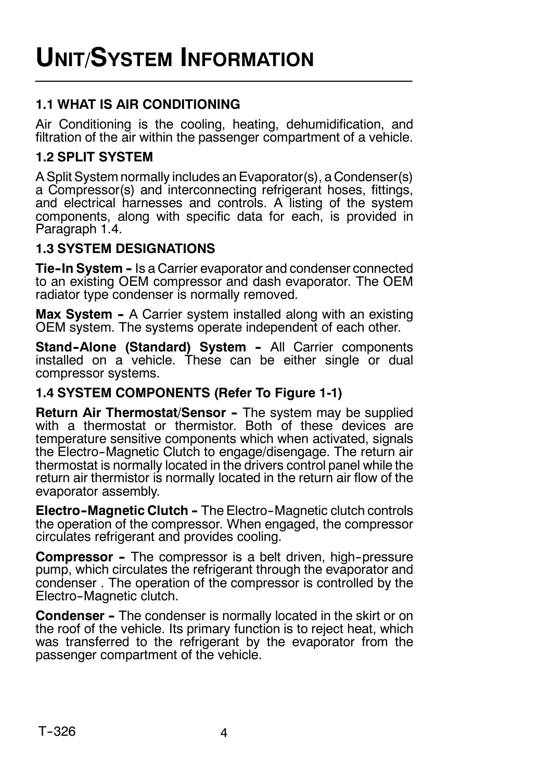#### **1.1 WHAT IS AIR CONDITIONING**

Air Conditioning is the cooling, heating, dehumidification, and filtration of the air within the passenger compartment of a vehicle.

#### **1.2 SPLIT SYSTEM**

A Split System normally includes an Evaporator(s), a Condenser(s) a Compressor(s) and interconnecting refrigerant hoses, fittings, and electrical harnesses and controls. A listing of the system components, along with specific data for each, is provided in Paragraph 1.4.

#### **1.3 SYSTEM DESIGNATIONS**

**Tie-In System -** Is a Carrier evaporator and condenser connected to an existing OEM compressor and dash evaporator. The OEM radiator type condenser is normally removed.

**Max System -** A Carrier system installed along with an existing OEM system. The systems operate independent of each other.

Stand-Alone (Standard) System - All Carrier components installed on a vehicle. These can be either single or dual compressor systems.

#### **1.4 SYSTEM COMPONENTS (Refer To Figure 1-1)**

**Return Air Thermostat/Sensor -** The system may be supplied with a thermostat or thermistor. Both of these devices are temperature sensitive components which when activated, signals the Electro--Magnetic Clutch to engage/disengage. The return air thermostat is normally located in the drivers control panel while the return air thermistor is normally located in the return air flow of the evaporator assembly.

**Electro-Magnetic Clutch -** The Electro-Magnetic clutch controls the operation of the compressor. When engaged, the compressor circulates refrigerant and provides cooling.

**Compressor -** The compressor is a belt driven, high-pressure pump, which circulates the refrigerant through the evaporator and condenser . The operation of the compressor is controlled by the Electro--Magnetic clutch.

**Condenser -** The condenser is normally located in the skirt or on the roof of the vehicle. Its primary function is to reject heat, which was transferred to the refrigerant by the evaporator from the passenger compartment of the vehicle.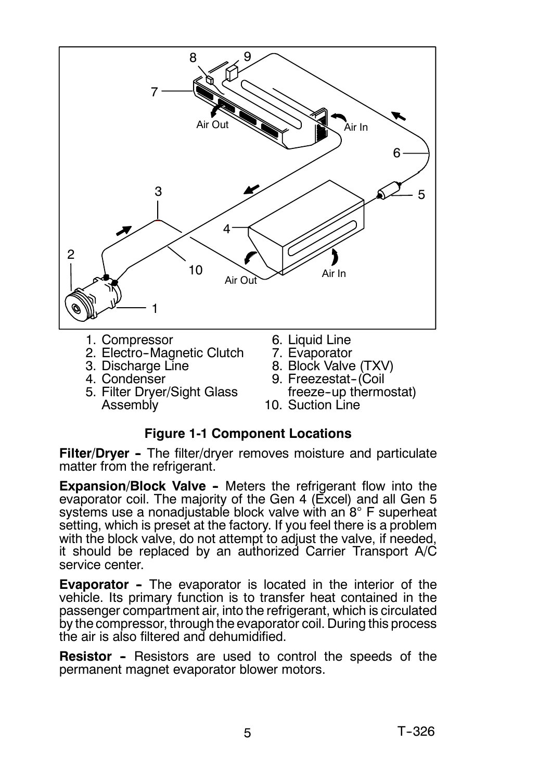

- 5. Filter Dryer/Sight Glass Assembly
- freeze--up thermostat)
- 10. Suction Line

#### **Figure 1-1 Component Locations**

**Filter/Dryer -** The filter/dryer removes moisture and particulate matter from the refrigerant.

**Expansion/Block Valve -** Meters the refrigerant flow into the evaporator coil. The majority of the Gen 4 (Excel) and all Gen 5 systems use a nonadjustable block valve with an 8° F superheat setting, which is preset at the factory. If you feel there is a problem with the block valve, do not attempt to adjust the valve, if needed, it should be replaced by an authorized Carrier Transport A/C service center.

**Evaporator -** The evaporator is located in the interior of the vehicle. Its primary function is to transfer heat contained in the passenger compartment air, into the refrigerant, which is circulated by the compressor, through the evaporator coil. During this process the air is also filtered and dehumidified.

**Resistor -** Resistors are used to control the speeds of the permanent magnet evaporator blower motors.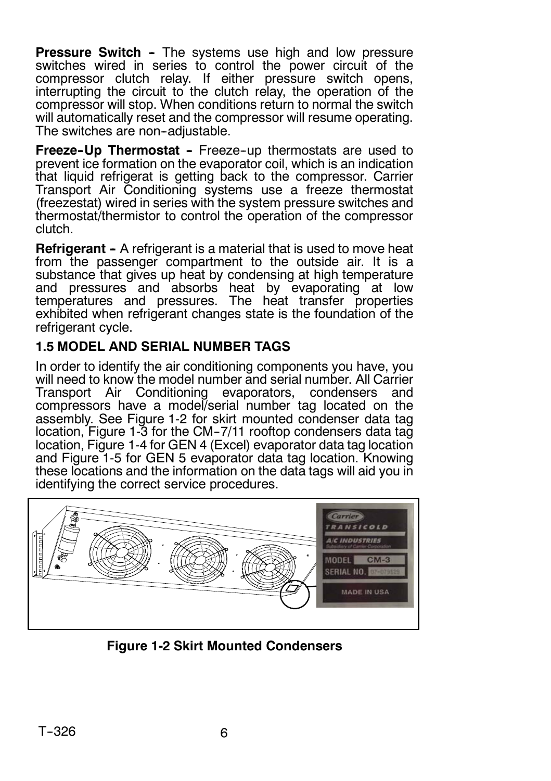**Pressure Switch -** The systems use high and low pressure switches wired in series to control the power circuit of the compressor clutch relay. If either pressure switch opens, interrupting the circuit to the clutch relay, the operation of the compressor will stop. When conditions return to normal the switch will automatically reset and the compressor will resume operating. The switches are non-adjustable.

**Freeze-Up Thermostat -** Freeze-up thermostats are used to prevent ice formation on the evaporator coil, which is an indication that liquid refrigerat is getting back to the compressor. Carrier Transport Air Conditioning systems use a freeze thermostat (freezestat) wired in series with the system pressure switches and thermostat/thermistor to control the operation of the compressor clutch.

**Refrigerant -** A refrigerant is a material that is used to move heat from the passenger compartment to the outside air. It is a substance that gives up heat by condensing at high temperature and pressures and absorbs heat by evaporating at low temperatures and pressures. The heat transfer properties exhibited when refrigerant changes state is the foundation of the refrigerant cycle.

#### **1.5 MODEL AND SERIAL NUMBER TAGS**

In order to identify the air conditioning components you have, you will need to know the model number and serial number. All Carrier Transport Air Conditioning evaporators, condensers and compressors have a model/serial number tag located on the assembly. See Figure 1-2 for skirt mounted condenser data tag location, Figure 1-3 for the CM-7/11 rooftop condensers data tag location, Figure 1-4 for GEN 4 (Excel) evaporator data tag location and Figure 1-5 for GEN 5 evaporator data tag location. Knowing these locations and the information on the data tags will aid you in identifying the correct service procedures.



**Figure 1-2 Skirt Mounted Condensers**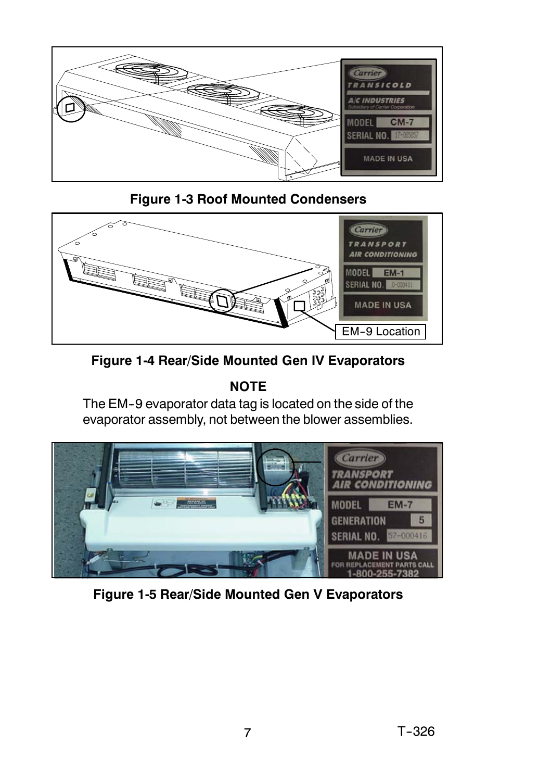

**Figure 1-3 Roof Mounted Condensers**



**Figure 1-4 Rear/Side Mounted Gen IV Evaporators**

#### **NOTE**

The EM--9 evaporator data tag is located on the side of the evaporator assembly, not between the blower assemblies.



**Figure 1-5 Rear/Side Mounted Gen V Evaporators**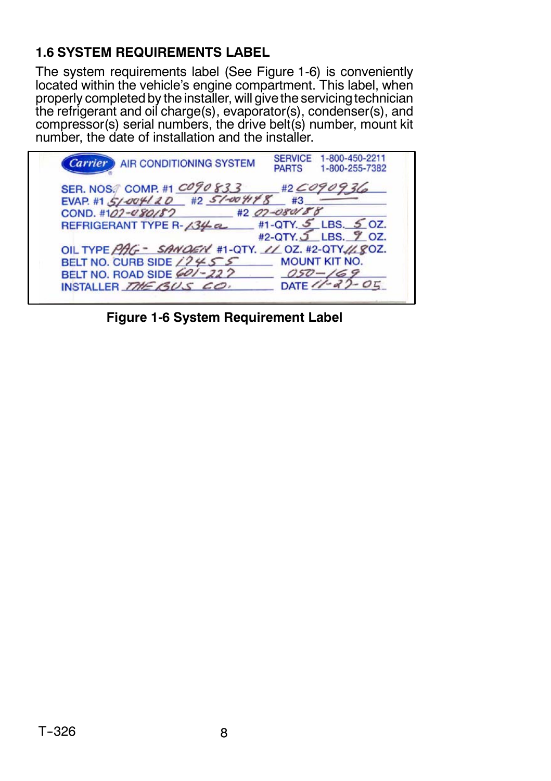#### **1.6 SYSTEM REQUIREMENTS LABEL**

The system requirements label (See Figure 1-6) is conveniently located within the vehicle's engine compartment. This label, when properly completed by the installer, will givethe servicingtechnician the refrigerant and oil charge(s), evaporator(s), condenser(s), and compressor(s) serial numbers, the drive belt(s) number, mount kit number, the date of installation and the installer.

| AIR CONDITIONING SYSTEM                                           | SERVICE 1-800-450-2211<br>1-800-255-7382<br><b>PARTS</b> |
|-------------------------------------------------------------------|----------------------------------------------------------|
| SER. NOS. COMP. #1 CO90833                                        | #2090936                                                 |
| EVAP. #1 51-004120 #2 51-004148                                   | $#3 =$                                                   |
| COND. #1 <i>02-480182</i> #202-080188                             |                                                          |
| REFRIGERANT TYPE R- $\sqrt{3}\frac{\mu}{4}a$ #1-QTY. 5 LBS. 5 OZ. | #2-QTY.J LBS. 7 OZ.                                      |
| OIL TYPE PAG - SANDEN #1-QTY. 11 OZ. #2-QTY.180Z.                 |                                                          |
| BELT NO. CURB SIDE 12455                                          | <b>MOUNT KIT NO.</b>                                     |
| BELT NO. ROAD SIDE 601-222                                        | $050 - 169$                                              |
| INSTALLER THE BUS CO.                                             | DATE $11 - 22 - 05$                                      |

**Figure 1-6 System Requirement Label**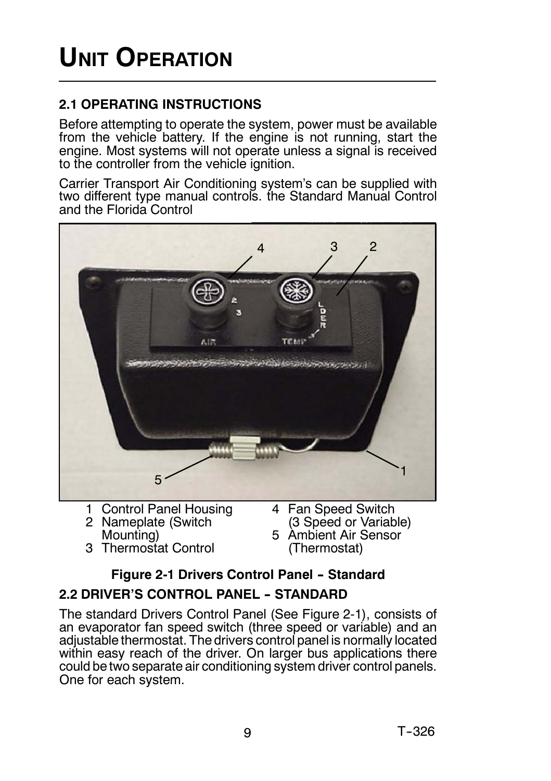#### **2.1 OPERATING INSTRUCTIONS**

Before attempting to operate the system, power must be available from the vehicle battery. If the engine is not running, start the engine. Most systems will not operate unless a signal is received to the controller from the vehicle ignition.

Carrier Transport Air Conditioning system's can be supplied with two different type manual controls. the Standard Manual Control and the Florida Control



- 2 Nameplate (Switch
- Mounting) 3 Thermostat Control
- (3 Speed or Variable) 5 Ambient Air Sensor (Thermostat)

#### **Figure 2-1 Drivers Control Panel - Standard 2.2 DRIVER'S CONTROL PANEL - STANDARD**

The standard Drivers Control Panel (See Figure 2-1), consists of an evaporator fan speed switch (three speed or variable) and an adjustable thermostat. The drivers control panel is normally located within easy reach of the driver. On larger bus applications there could be two separate air conditioning system driver control panels. One for each system.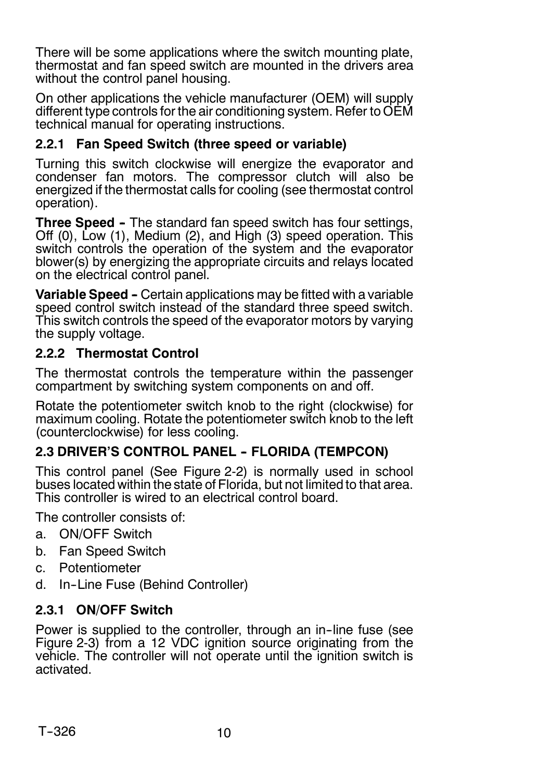There will be some applications where the switch mounting plate, thermostat and fan speed switch are mounted in the drivers area without the control panel housing.

On other applications the vehicle manufacturer (OEM) will supply different type controls for the air conditioning system. Refer to OEM technical manual for operating instructions.

#### **2.2.1 Fan Speed Switch (three speed or variable)**

Turning this switch clockwise will energize the evaporator and condenser fan motors. The compressor clutch will also be energized if the thermostat calls for cooling (see thermostat control operation).

**Three Speed -** The standard fan speed switch has four settings, Off (0), Low (1), Medium (2), and High (3) speed operation. This switch controls the operation of the system and the evaporator blower(s) by energizing the appropriate circuits and relays located on the electrical control panel.

**Variable Speed -** Certain applications may be fitted with a variable speed control switch instead of the standard three speed switch. This switch controls the speed of the evaporator motors by varying the supply voltage.

#### **2.2.2 Thermostat Control**

The thermostat controls the temperature within the passenger compartment by switching system components on and off.

Rotate the potentiometer switch knob to the right (clockwise) for maximum cooling. Rotate the potentiometer switch knob to the left (counterclockwise) for less cooling.

#### **2.3 DRIVER'S CONTROL PANEL -- FLORIDA (TEMPCON)**

This control panel (See Figure 2-2) is normally used in school buses located within the state of Florida, but not limited to that area. This controller is wired to an electrical control board.

The controller consists of:

- a. ON/OFF Switch
- b. Fan Speed Switch
- c. Potentiometer
- d. In--Line Fuse (Behind Controller)

#### **2.3.1 ON/OFF Switch**

Power is supplied to the controller, through an in-line fuse (see Figure 2-3) from a 12 VDC ignition source originating from the vehicle. The controller will not operate until the ignition switch is activated.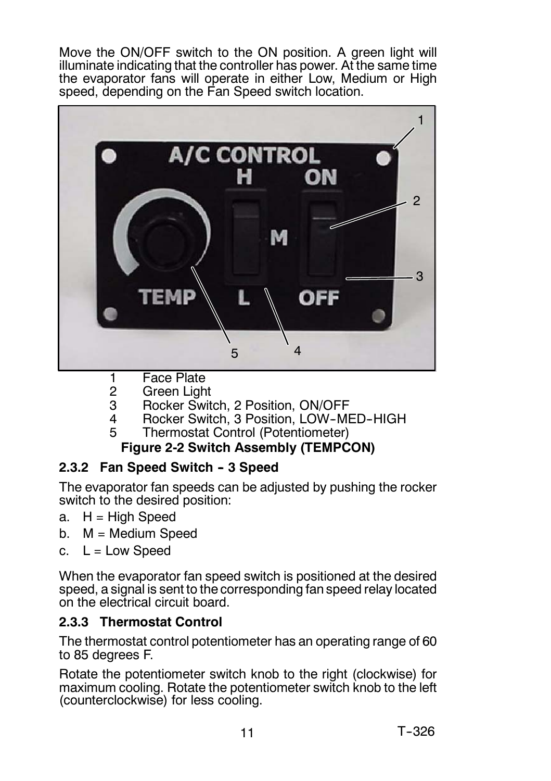Move the ON/OFF switch to the ON position. A green light will illuminate indicating that the controller has power. At the same time the evaporator fans will operate in either Low, Medium or High speed, depending on the Fan Speed switch location.



- 1 Face Plate
- 2 Green Light<br>3 Rocker Swite
- 3 Rocker Switch, 2 Position, ON/OFF<br>4 Rocker Switch 3 Position 1 OW-ME
- 4 Rocker Switch, 3 Position, LOW-MED-HIGH<br>5 Thermostat Control (Potentiometer)
- 5 Thermostat Control (Potentiometer)

#### **Figure 2-2 Switch Assembly (TEMPCON)**

#### **2.3.2 Fan Speed Switch - 3 Speed**

The evaporator fan speeds can be adjusted by pushing the rocker switch to the desired position:

- a.  $H = High Speed$
- $b. \quad M = \text{Median}$  Speed
- c.  $L = Low Speed$

When the evaporator fan speed switch is positioned at the desired speed, a signal is sent to the corresponding fan speed relay located on the electrical circuit board.

#### **2.3.3 Thermostat Control**

The thermostat control potentiometer has an operating range of 60 to 85 degrees F.

Rotate the potentiometer switch knob to the right (clockwise) for maximum cooling. Rotate the potentiometer switch knob to the left (counterclockwise) for less cooling.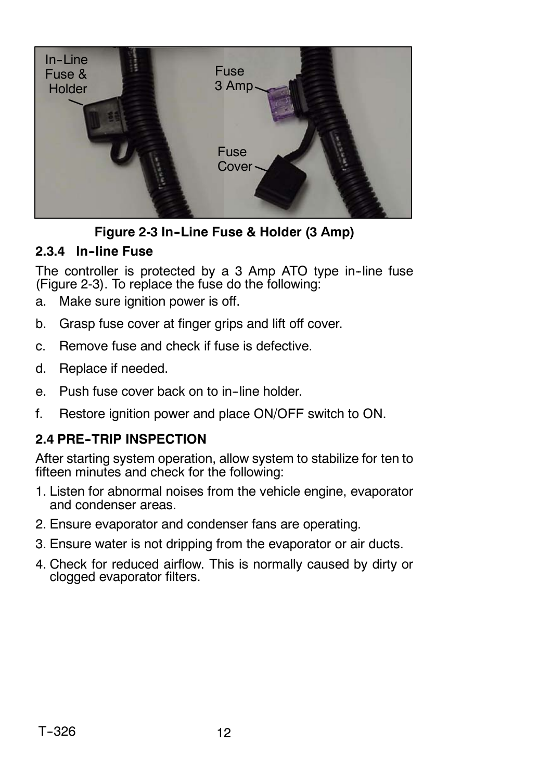

**Figure 2-3 In--Line Fuse & Holder (3 Amp)**

#### **2.3.4 In--line Fuse**

The controller is protected by a 3 Amp ATO type in-line fuse (Figure 2-3). To replace the fuse do the following:

- a. Make sure ignition power is off.
- b. Grasp fuse cover at finger grips and lift off cover.
- c. Remove fuse and check if fuse is defective.
- d. Replace if needed.
- e. Push fuse cover back on to in-line holder.
- f. Restore ignition power and place ON/OFF switch to ON.

#### **2.4 PRE--TRIP INSPECTION**

After starting system operation, allow system to stabilize for ten to fifteen minutes and check for the following:

- 1. Listen for abnormal noises from the vehicle engine, evaporator and condenser areas.
- 2. Ensure evaporator and condenser fans are operating.
- 3. Ensure water is not dripping from the evaporator or air ducts.
- 4. Check for reduced airflow. This is normally caused by dirty or clogged evaporator filters.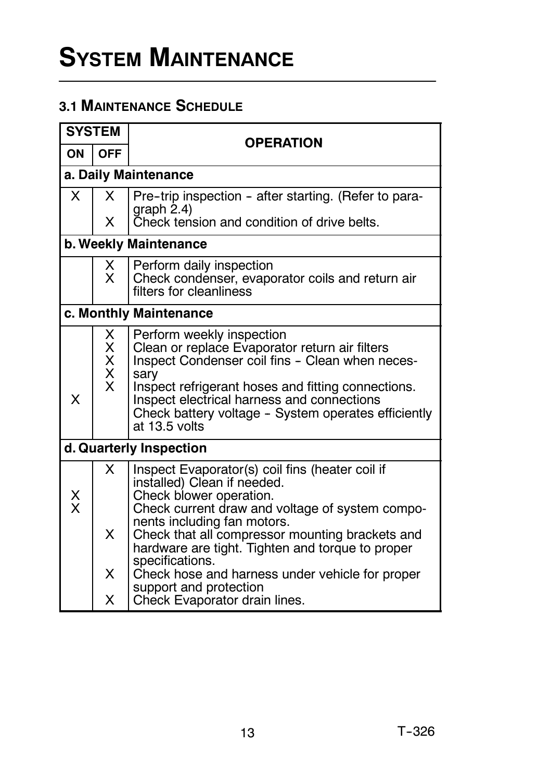#### **3.1 MAINTENANCE SCHEDULE**

| <b>SYSTEM</b>                   |                                   |                                                                                                                                                                                                                                                                                                                                                                                                                                     |  |  |  |  |
|---------------------------------|-----------------------------------|-------------------------------------------------------------------------------------------------------------------------------------------------------------------------------------------------------------------------------------------------------------------------------------------------------------------------------------------------------------------------------------------------------------------------------------|--|--|--|--|
| ON                              | <b>OFF</b>                        | <b>OPERATION</b>                                                                                                                                                                                                                                                                                                                                                                                                                    |  |  |  |  |
|                                 | a. Daily Maintenance              |                                                                                                                                                                                                                                                                                                                                                                                                                                     |  |  |  |  |
| X                               | X.<br>X                           | Pre-trip inspection - after starting. (Refer to para-<br>graph $2.4$ )<br>Check tension and condition of drive belts.                                                                                                                                                                                                                                                                                                               |  |  |  |  |
| b. Weekly Maintenance           |                                   |                                                                                                                                                                                                                                                                                                                                                                                                                                     |  |  |  |  |
|                                 | X.<br>X                           | Perform daily inspection<br>Check condenser, evaporator coils and return air<br>filters for cleanliness                                                                                                                                                                                                                                                                                                                             |  |  |  |  |
| c. Monthly Maintenance          |                                   |                                                                                                                                                                                                                                                                                                                                                                                                                                     |  |  |  |  |
| X                               | X<br>$_{\rm X}^{\rm X}$<br>X<br>X | Perform weekly inspection<br>Clean or replace Evaporator return air filters<br>Inspect Condenser coil fins - Clean when neces-<br>sarv<br>Inspect refrigerant hoses and fitting connections.<br>Inspect electrical harness and connections<br>Check battery voltage - System operates efficiently<br>at 13.5 volts                                                                                                                  |  |  |  |  |
| d. Quarterly Inspection         |                                   |                                                                                                                                                                                                                                                                                                                                                                                                                                     |  |  |  |  |
| $\frac{\mathsf{x}}{\mathsf{x}}$ | x<br>X<br>$\times$<br>x           | Inspect Evaporator(s) coil fins (heater coil if<br>installed) Clean if needed.<br>Check blower operation.<br>Check current draw and voltage of system compo-<br>nents including fan motors.<br>Check that all compressor mounting brackets and<br>hardware are tight. Tighten and torque to proper<br>specifications.<br>Check hose and harness under vehicle for proper<br>support and protection<br>Check Evaporator drain lines. |  |  |  |  |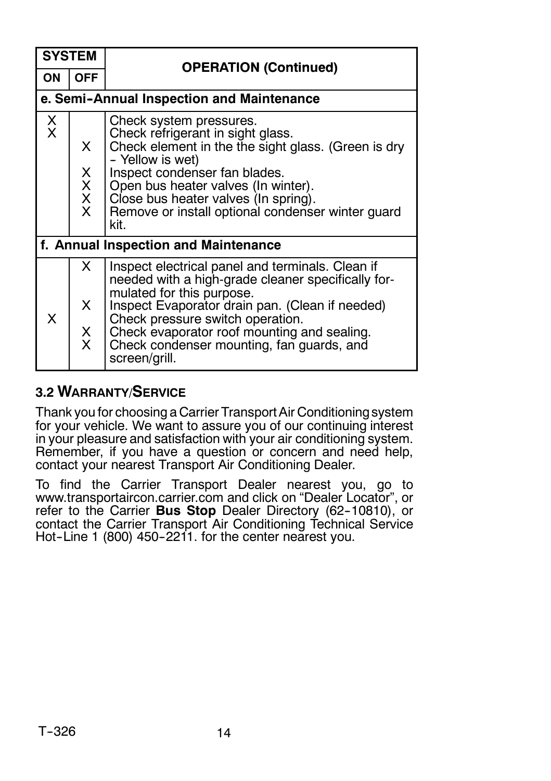| <b>SYSTEM</b> |                                           |                                                                                                                                                                                                                                                                                                                                         |  |  |  |  |
|---------------|-------------------------------------------|-----------------------------------------------------------------------------------------------------------------------------------------------------------------------------------------------------------------------------------------------------------------------------------------------------------------------------------------|--|--|--|--|
| ON            | <b>OFF</b>                                | <b>OPERATION (Continued)</b>                                                                                                                                                                                                                                                                                                            |  |  |  |  |
|               | e. Semi-Annual Inspection and Maintenance |                                                                                                                                                                                                                                                                                                                                         |  |  |  |  |
| $\frac{x}{x}$ | X.<br>X<br>X<br>X<br>X                    | Check system pressures.<br>Check refrigerant in sight glass.<br>Check element in the the sight glass. (Green is dry<br>- Yellow is wet)<br>Inspect condenser fan blades.<br>Open bus heater valves (In winter).<br>Close bus heater valves (In spring).<br>Remove or install optional condenser winter guard<br>kit.                    |  |  |  |  |
|               | f. Annual Inspection and Maintenance      |                                                                                                                                                                                                                                                                                                                                         |  |  |  |  |
| X             | X.<br>X.<br>$_{\rm X}^{\rm X}$            | Inspect electrical panel and terminals. Clean if<br>needed with a high-grade cleaner specifically for-<br>mulated for this purpose.<br>Inspect Evaporator drain pan. (Clean if needed)<br>Check pressure switch operation.<br>Check evaporator roof mounting and sealing.<br>Check condenser mounting, fan guards, and<br>screen/grill. |  |  |  |  |

#### **3.2 WARRANTY/SERVICE**

Thank you for choosing a Carrier Transport Air Conditioningsystem for your vehicle. We want to assure you of our continuing interest in your pleasure and satisfaction with your air conditioning system. Remember, if you have a question or concern and need help, contact your nearest Transport Air Conditioning Dealer.

To find the Carrier Transport Dealer nearest you, go to www.transportaircon.carrier.com and click on "Dealer Locator", or refer to the Carrier Bus Stop Dealer Directory (62-10810), or contact the Carrier Transport Air Conditioning Technical Service Hot-Line 1 (800) 450-2211. for the center nearest you.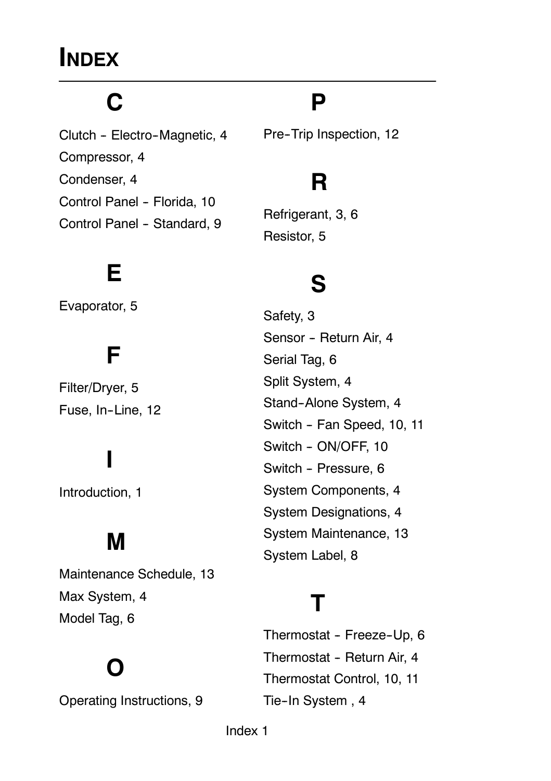## **INDEX**

# **C**

Clutch - Electro-Magnetic, 4 Compressor, 4 Condenser, 4 Control Panel - Florida, 10 Control Panel - Standard, 9

### **E**

Evaporator, 5

### **F**

Filter/Dryer, 5 Fuse, In-Line, 12

## **I**

Introduction, 1

### **M**

Maintenance Schedule, 13 Max System, 4 Model Tag, 6

### **O**

Operating Instructions, 9

### **P**

Pre-Trip Inspection, 12

## **R**

Refrigerant, 3, 6 Resistor, 5

### **S**

Safety, 3 Sensor - Return Air, 4 Serial Tag, 6 Split System, 4 Stand-Alone System, 4 Switch - Fan Speed, 10, 11 Switch - ON/OFF, 10 Switch - Pressure, 6 System Components, 4 System Designations, 4 System Maintenance, 13 System Label, 8

## **T**

Thermostat - Freeze-Up, 6 Thermostat - Return Air, 4 Thermostat Control, 10, 11 Tie-In System, 4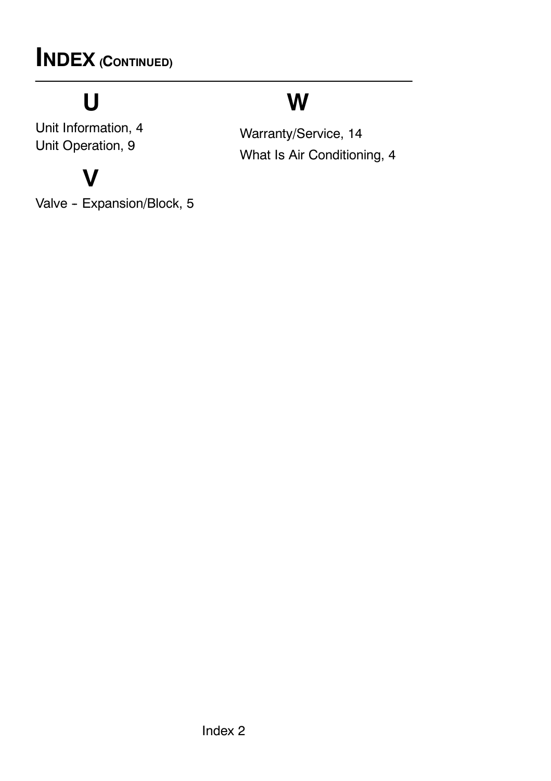## **INDEX (CONTINUED)**

## **U**

Unit Information, 4 Unit Operation, 9

## **V**

Valve - Expansion/Block, 5

## **W**

Warranty/Service, 14 What Is Air Conditioning, 4